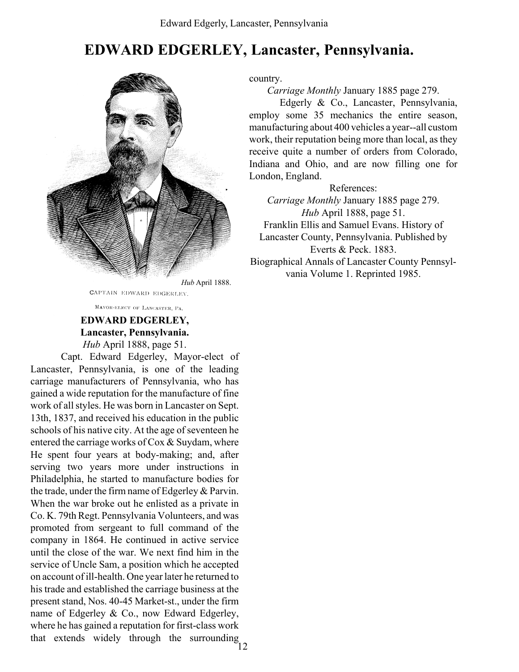# EDWARD EDGERLEY, Lancaster, Pennsylvania.



CAPTAIN EDWARD EDGERLEY.

MAYOR-ELECT OF LANCASTER, PA.

## EDWARD EDGERLEY, Lancaster, Pennsylvania. Hub April 1888, page 51.

Capt. Edward Edgerley, Mayor-elect of Lancaster, Pennsylvania, is one of the leading carriage manufacturers of Pennsylvania, who has gained a wide reputation for the manufacture of fine work of all styles. He was born in Lancaster on Sept. 13th, 1837, and received his education in the public schools of his native city. At the age of seventeen he entered the carriage works of Cox & Suydam, where He spent four years at body-making; and, after serving two years more under instructions in Philadelphia, he started to manufacture bodies for the trade, under the firm name of Edgerley & Parvin. When the war broke out he enlisted as a private in Co. K. 79th Regt. Pennsylvania Volunteers, and was promoted from sergeant to full command of the company in 1864. He continued in active service until the close of the war. We next find him in the service of Uncle Sam, a position which he accepted on account of ill-health. One year later he returned to his trade and established the carriage business at the present stand, Nos. 40-45 Market-st., under the firm name of Edgerley & Co., now Edward Edgerley, where he has gained a reputation for first-class work that extends widely through the surrounding

country.

Carriage Monthly January 1885 page 279.

Edgerly & Co., Lancaster, Pennsylvania, employ some 35 mechanics the entire season, manufacturing about 400 vehicles a year--all custom work, their reputation being more than local, as they receive quite a number of orders from Colorado, Indiana and Ohio, and are now filling one for London, England.

References: Carriage Monthly January 1885 page 279. Hub April 1888, page 51. Franklin Ellis and Samuel Evans. History of Lancaster County, Pennsylvania. Published by Everts & Peck. 1883. Biographical Annals of Lancaster County Pennsylvania Volume 1. Reprinted 1985.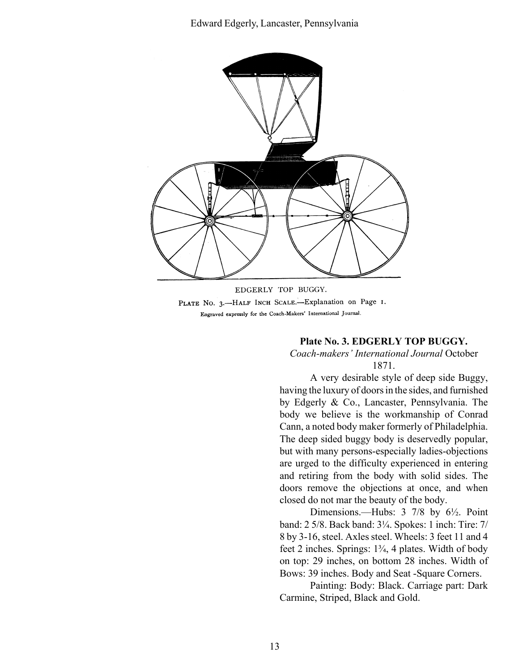

EDGERLY TOP BUGGY. PLATE No. 3.-HALF INCH SCALE.-Explanation on Page 1. Engraved expressly for the Coach-Makers' International Journal.

### Plate No. 3. EDGERLY TOP BUGGY.

### Coach-makers' International Journal October 1871.

A very desirable style of deep side Buggy, having the luxury of doors in the sides, and furnished by Edgerly & Co., Lancaster, Pennsylvania. The body we believe is the workmanship of Conrad Cann, a noted body maker formerly of Philadelphia. The deep sided buggy body is deservedly popular, but with many persons-especially ladies-objections are urged to the difficulty experienced in entering and retiring from the body with solid sides. The doors remove the objections at once, and when closed do not mar the beauty of the body.

Dimensions.—Hubs: 3 7/8 by  $6\frac{1}{2}$ . Point band: 2 5/8. Back band: 3<sup>1</sup>/<sub>4</sub>. Spokes: 1 inch: Tire: 7/ 8 by 3-16, steel. Axles steel. Wheels: 3 feet 11 and 4 feet 2 inches. Springs:  $1\frac{3}{4}$ , 4 plates. Width of body on top: 29 inches, on bottom 28 inches. Width of Bows: 39 inches. Body and Seat -Square Corners.

Painting: Body: Black. Carriage part: Dark Carmine, Striped, Black and Gold.